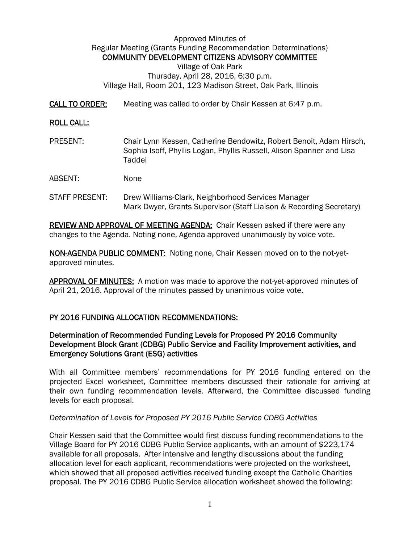Approved Minutes of Regular Meeting (Grants Funding Recommendation Determinations) COMMUNITY DEVELOPMENT CITIZENS ADVISORY COMMITTEE

Village of Oak Park Thursday, April 28, 2016, 6:30 p.m. Village Hall, Room 201, 123 Madison Street, Oak Park, Illinois

CALL TO ORDER: Meeting was called to order by Chair Kessen at 6:47 p.m.

### ROLL CALL:

- PRESENT: Chair Lynn Kessen, Catherine Bendowitz, Robert Benoit, Adam Hirsch, Sophia Isoff, Phyllis Logan, Phyllis Russell, Alison Spanner and Lisa Taddei
- ABSENT: None
- STAFF PRESENT: Drew Williams-Clark, Neighborhood Services Manager Mark Dwyer, Grants Supervisor (Staff Liaison & Recording Secretary)

**REVIEW AND APPROVAL OF MEETING AGENDA:** Chair Kessen asked if there were any changes to the Agenda. Noting none, Agenda approved unanimously by voice vote.

NON-AGENDA PUBLIC COMMENT: Noting none, Chair Kessen moved on to the not-yetapproved minutes.

APPROVAL OF MINUTES: A motion was made to approve the not-yet-approved minutes of April 21, 2016. Approval of the minutes passed by unanimous voice vote.

### PY 2016 FUNDING ALLOCATION RECOMMENDATIONS:

# Determination of Recommended Funding Levels for Proposed PY 2016 Community Development Block Grant (CDBG) Public Service and Facility Improvement activities, and Emergency Solutions Grant (ESG) activities

With all Committee members' recommendations for PY 2016 funding entered on the projected Excel worksheet, Committee members discussed their rationale for arriving at their own funding recommendation levels. Afterward, the Committee discussed funding levels for each proposal.

### *Determination of Levels for Proposed PY 2016 Public Service CDBG Activities*

Chair Kessen said that the Committee would first discuss funding recommendations to the Village Board for PY 2016 CDBG Public Service applicants, with an amount of \$223,174 available for all proposals. After intensive and lengthy discussions about the funding allocation level for each applicant, recommendations were projected on the worksheet, which showed that all proposed activities received funding except the Catholic Charities proposal. The PY 2016 CDBG Public Service allocation worksheet showed the following: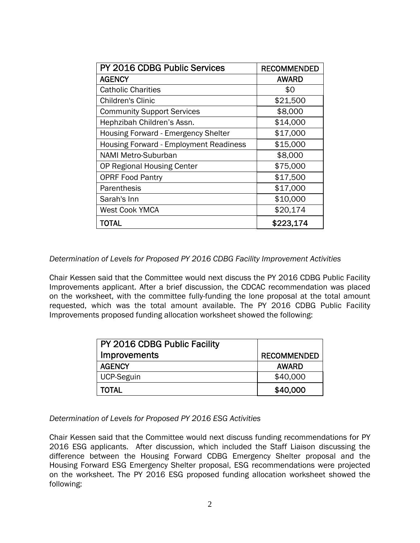| PY 2016 CDBG Public Services                  | <b>RECOMMENDED</b> |
|-----------------------------------------------|--------------------|
| <b>AGENCY</b>                                 | <b>AWARD</b>       |
| <b>Catholic Charities</b>                     | \$0                |
| Children's Clinic                             | \$21,500           |
| <b>Community Support Services</b>             | \$8,000            |
| Hephzibah Children's Assn.                    | \$14,000           |
| Housing Forward - Emergency Shelter           | \$17,000           |
| <b>Housing Forward - Employment Readiness</b> | \$15,000           |
| <b>NAMI Metro-Suburban</b>                    | \$8,000            |
| <b>OP Regional Housing Center</b>             | \$75,000           |
| <b>OPRF Food Pantry</b>                       | \$17,500           |
| Parenthesis                                   | \$17,000           |
| Sarah's Inn                                   | \$10,000           |
| <b>West Cook YMCA</b>                         | \$20,174           |
| TOTAL                                         | \$223,174          |

*Determination of Levels for Proposed PY 2016 CDBG Facility Improvement Activities* 

Chair Kessen said that the Committee would next discuss the PY 2016 CDBG Public Facility Improvements applicant. After a brief discussion, the CDCAC recommendation was placed on the worksheet, with the committee fully-funding the lone proposal at the total amount requested, which was the total amount available. The PY 2016 CDBG Public Facility Improvements proposed funding allocation worksheet showed the following:

| PY 2016 CDBG Public Facility |                    |
|------------------------------|--------------------|
| <b>Improvements</b>          | <b>RECOMMENDED</b> |
| <b>AGENCY</b>                | <b>AWARD</b>       |
| <b>UCP-Seguin</b>            | \$40,000           |
| <b>TOTAL</b>                 | \$40,000           |

*Determination of Levels for Proposed PY 2016 ESG Activities* 

Chair Kessen said that the Committee would next discuss funding recommendations for PY 2016 ESG applicants. After discussion, which included the Staff Liaison discussing the difference between the Housing Forward CDBG Emergency Shelter proposal and the Housing Forward ESG Emergency Shelter proposal, ESG recommendations were projected on the worksheet. The PY 2016 ESG proposed funding allocation worksheet showed the following: